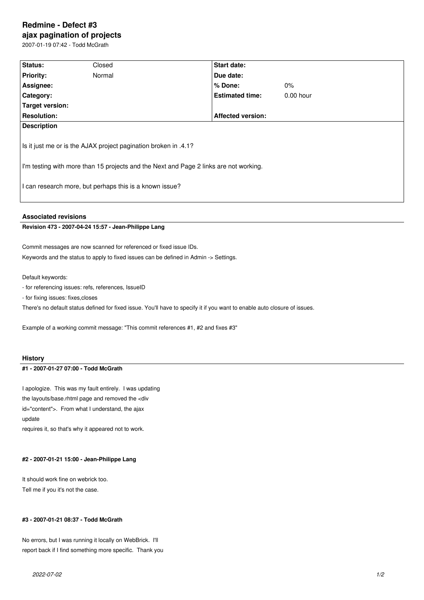# **Redmine - Defect #3 ajax pagination of projects**

2007-01-19 07:42 - Todd McGrath

| Status:                                                                                                                                                                                                             | Closed | <b>Start date:</b>       |             |  |
|---------------------------------------------------------------------------------------------------------------------------------------------------------------------------------------------------------------------|--------|--------------------------|-------------|--|
| <b>Priority:</b>                                                                                                                                                                                                    | Normal | Due date:                |             |  |
| Assignee:                                                                                                                                                                                                           |        | $%$ Done:                | $0\%$       |  |
| Category:                                                                                                                                                                                                           |        | <b>Estimated time:</b>   | $0.00$ hour |  |
| Target version:                                                                                                                                                                                                     |        |                          |             |  |
| <b>Resolution:</b>                                                                                                                                                                                                  |        | <b>Affected version:</b> |             |  |
| <b>Description</b>                                                                                                                                                                                                  |        |                          |             |  |
| Is it just me or is the AJAX project pagination broken in .4.1?<br>I'm testing with more than 15 projects and the Next and Page 2 links are not working.<br>I can research more, but perhaps this is a known issue? |        |                          |             |  |

## **Associated revisions**

#### **Revision 473 - 2007-04-24 15:57 - Jean-Philippe Lang**

Commit messages are now scanned for referenced or fixed issue IDs. Keywords and the status to apply to fixed issues can be defined in Admin -> Settings.

Default keywords:

- for referencing issues: refs, references, IssueID
- for fixing issues: fixes,closes

There's no default status defined for fixed issue. You'll have to specify it if you want to enable auto closure of issues.

Example of a working commit message: "This commit references #1, #2 and fixes #3"

#### **History**

#### **#1 - 2007-01-27 07:00 - Todd McGrath**

I apologize. This was my fault entirely. I was updating the layouts/base.rhtml page and removed the <div id="content">. From what I understand, the ajax update

requires it, so that's why it appeared not to work.

#### **#2 - 2007-01-21 15:00 - Jean-Philippe Lang**

It should work fine on webrick too. Tell me if you it's not the case.

## **#3 - 2007-01-21 08:37 - Todd McGrath**

No errors, but I was running it locally on WebBrick. I'll report back if I find something more specific. Thank you